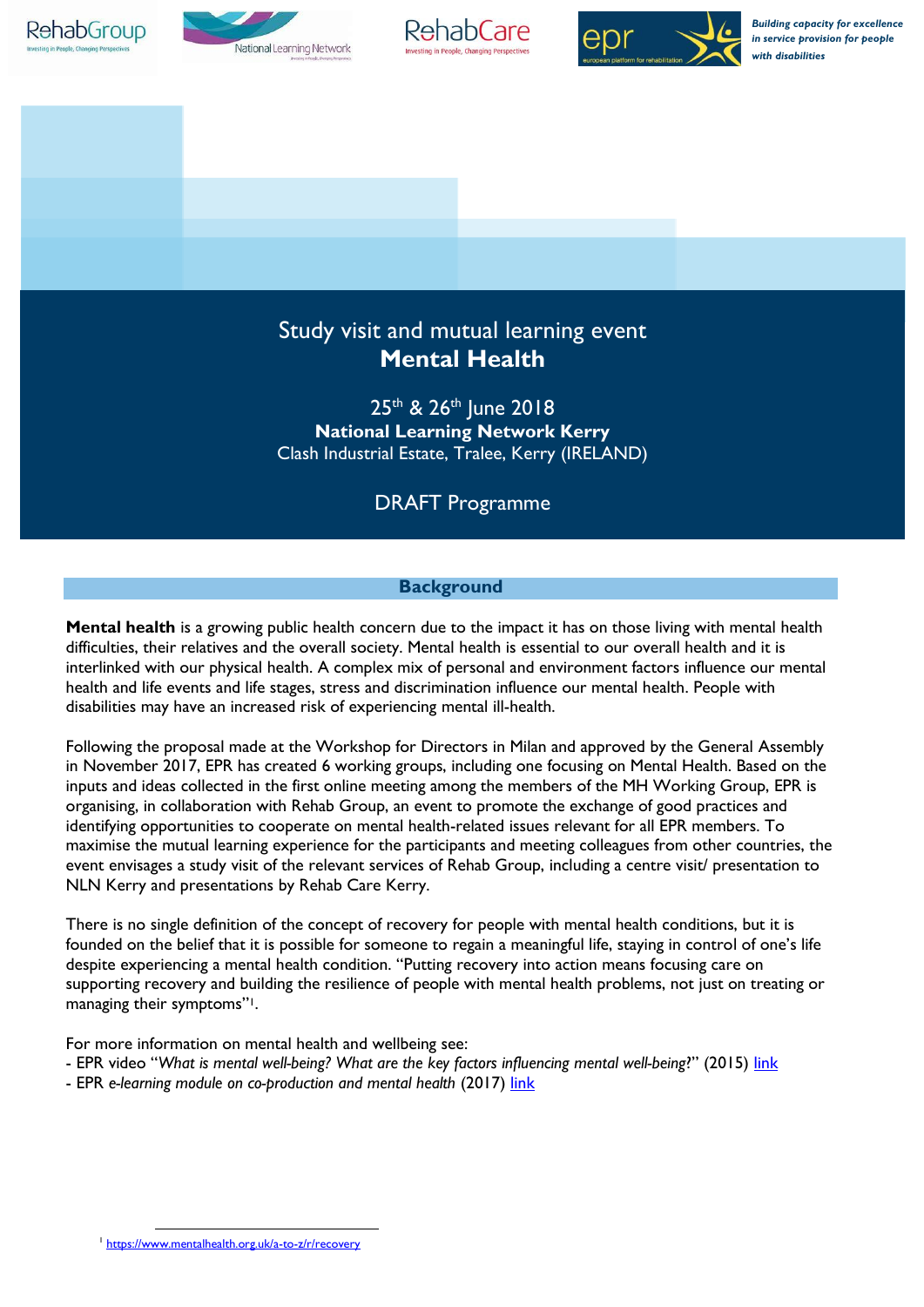







*Building capacity for excellence in service provision for people with disabilities*

# Study visit and mutual learning event **Mental Health**

25<sup>th</sup> & 26<sup>th</sup> June 2018 **National Learning Network Kerry** Clash Industrial Estate, Tralee, Kerry (IRELAND)

# DRAFT Programme

# **Background**

**Mental health** is a growing public health concern due to the impact it has on those living with mental health difficulties, their relatives and the overall society. Mental health is essential to our overall health and it is interlinked with our physical health. A complex mix of personal and environment factors influence our mental health and life events and life stages, stress and discrimination influence our mental health. People with disabilities may have an increased risk of experiencing mental ill-health.

Following the proposal made at the Workshop for Directors in Milan and approved by the General Assembly in November 2017, EPR has created 6 working groups, including one focusing on Mental Health. Based on the inputs and ideas collected in the first online meeting among the members of the MH Working Group, EPR is organising, in collaboration with Rehab Group, an event to promote the exchange of good practices and identifying opportunities to cooperate on mental health-related issues relevant for all EPR members. To maximise the mutual learning experience for the participants and meeting colleagues from other countries, the event envisages a study visit of the relevant services of Rehab Group, including a centre visit/ presentation to NLN Kerry and presentations by Rehab Care Kerry.

There is no single definition of the concept of recovery for people with mental health conditions, but it is founded on the belief that it is possible for someone to regain a meaningful life, staying in control of one's life despite experiencing a mental health condition. "Putting recovery into action means focusing care on supporting recovery and building the resilience of people with mental health problems, not just on treating or managing their symptoms"1.

For more information on mental health and wellbeing see:

- EPR video "*What is mental well-being? What are the key factors influencing mental well-being*?" (2015) [link](https://www.epr.eu/resources-on-mental-health-and-well-being/)
- EPR *e-learning module on co-production and mental health* (2017) [link](https://www.epr.eu/e-learning-module-on-mental-health-and-co-production/)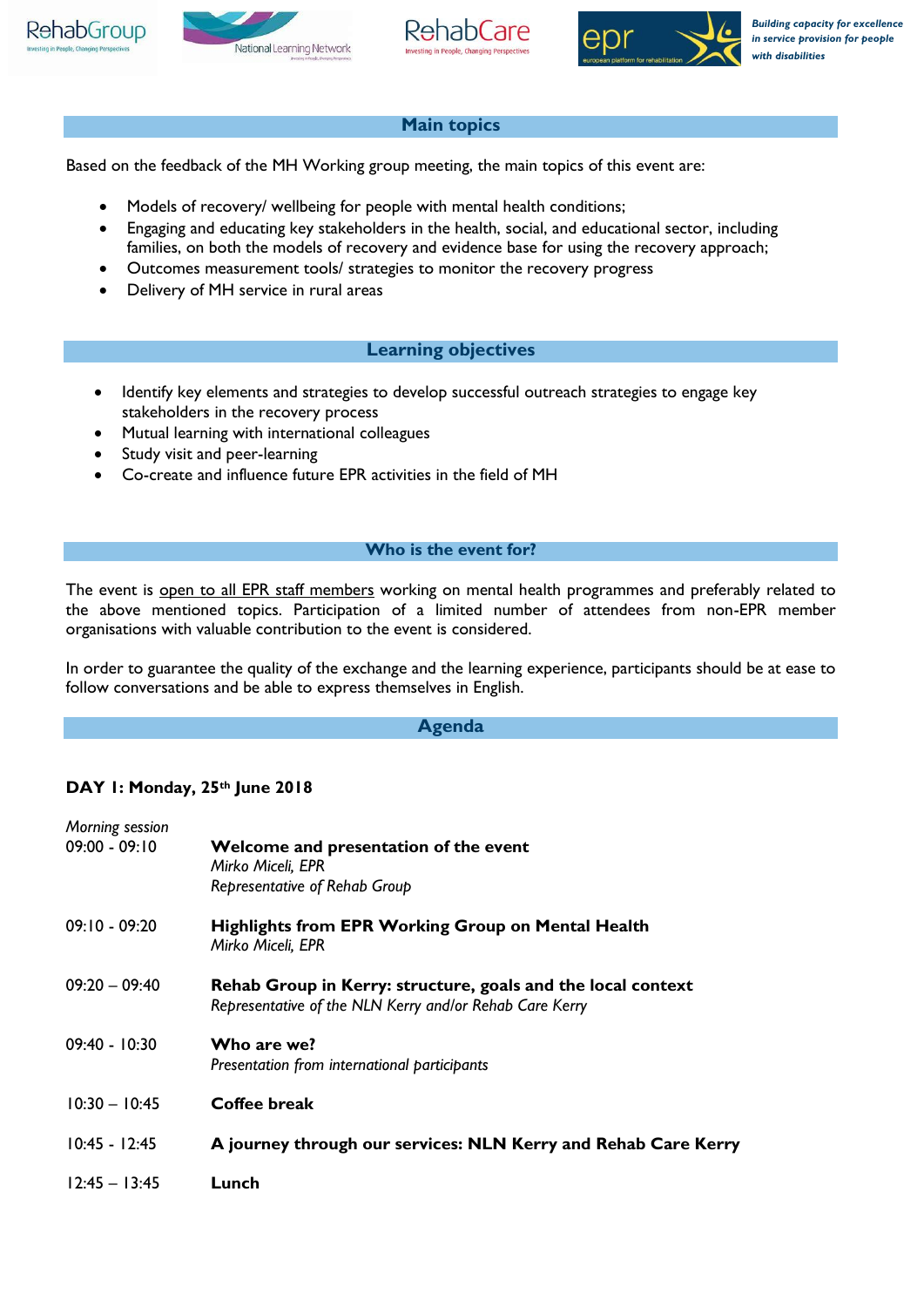







## **Main topics**

Based on the feedback of the MH Working group meeting, the main topics of this event are:

- Models of recovery/ wellbeing for people with mental health conditions;
- Engaging and educating key stakeholders in the health, social, and educational sector, including families, on both the models of recovery and evidence base for using the recovery approach;
- Outcomes measurement tools/ strategies to monitor the recovery progress
- Delivery of MH service in rural areas

#### **Learning objectives**

- Identify key elements and strategies to develop successful outreach strategies to engage key stakeholders in the recovery process
- Mutual learning with international colleagues
- Study visit and peer-learning
- Co-create and influence future EPR activities in the field of MH

#### **Who is the event for?**

The event is open to all EPR staff members working on mental health programmes and preferably related to the above mentioned topics. Participation of a limited number of attendees from non-EPR member organisations with valuable contribution to the event is considered.

In order to guarantee the quality of the exchange and the learning experience, participants should be at ease to follow conversations and be able to express themselves in English.

#### **Agenda**

#### **DAY 1: Monday, 25th June 2018**

| Morning session<br>$09:00 - 09:10$ | Welcome and presentation of the event<br>Mirko Miceli, EPR<br>Representative of Rehab Group                             |
|------------------------------------|-------------------------------------------------------------------------------------------------------------------------|
| $09:10 - 09:20$                    | <b>Highlights from EPR Working Group on Mental Health</b><br>Mirko Miceli, EPR                                          |
| $09:20 - 09:40$                    | Rehab Group in Kerry: structure, goals and the local context<br>Representative of the NLN Kerry and/or Rehab Care Kerry |
| $09:40 - 10:30$                    | Who are we?<br>Presentation from international participants                                                             |
| $10:30 - 10:45$                    | Coffee break                                                                                                            |
| $10:45 - 12:45$                    | A journey through our services: NLN Kerry and Rehab Care Kerry                                                          |
| $12:45 - 13:45$                    | Lunch                                                                                                                   |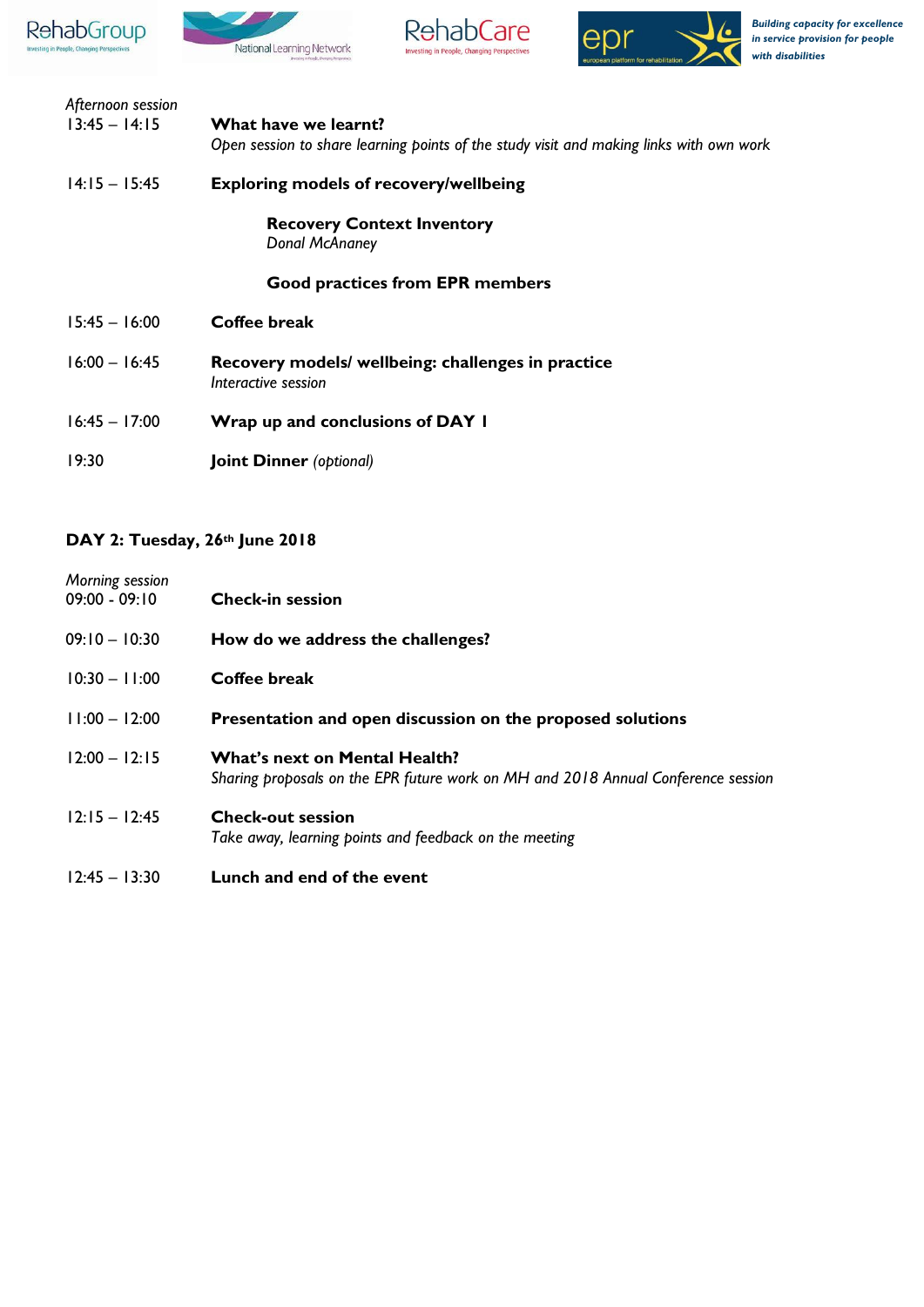







| Afternoon session |                                                                                         |
|-------------------|-----------------------------------------------------------------------------------------|
| $13:45 - 14:15$   | What have we learnt?                                                                    |
|                   | Open session to share learning points of the study visit and making links with own work |
| $14:15 - 15:45$   | <b>Exploring models of recovery/wellbeing</b>                                           |
|                   | <b>Recovery Context Inventory</b>                                                       |
|                   | Donal McAnaney                                                                          |
|                   | <b>Good practices from EPR members</b>                                                  |
| $15:45 - 16:00$   | <b>Coffee break</b>                                                                     |
| $16:00 - 16:45$   | Recovery models/ wellbeing: challenges in practice                                      |
|                   | Interactive session                                                                     |
| $16:45 - 17:00$   | Wrap up and conclusions of DAY I                                                        |
| 19:30             | <b>Joint Dinner</b> (optional)                                                          |

# **DAY 2: Tuesday, 26th June 2018**

| Morning session<br>$09:00 - 09:10$ | <b>Check-in session</b>                                                                                                   |
|------------------------------------|---------------------------------------------------------------------------------------------------------------------------|
| $09:10 - 10:30$                    | How do we address the challenges?                                                                                         |
| $10:30 - 11:00$                    | Coffee break                                                                                                              |
| $11:00 - 12:00$                    | Presentation and open discussion on the proposed solutions                                                                |
| $12:00 - 12:15$                    | <b>What's next on Mental Health?</b><br>Sharing proposals on the EPR future work on MH and 2018 Annual Conference session |
| $12:15 - 12:45$                    | <b>Check-out session</b><br>Take away, learning points and feedback on the meeting                                        |
| $12:45 - 13:30$                    | Lunch and end of the event                                                                                                |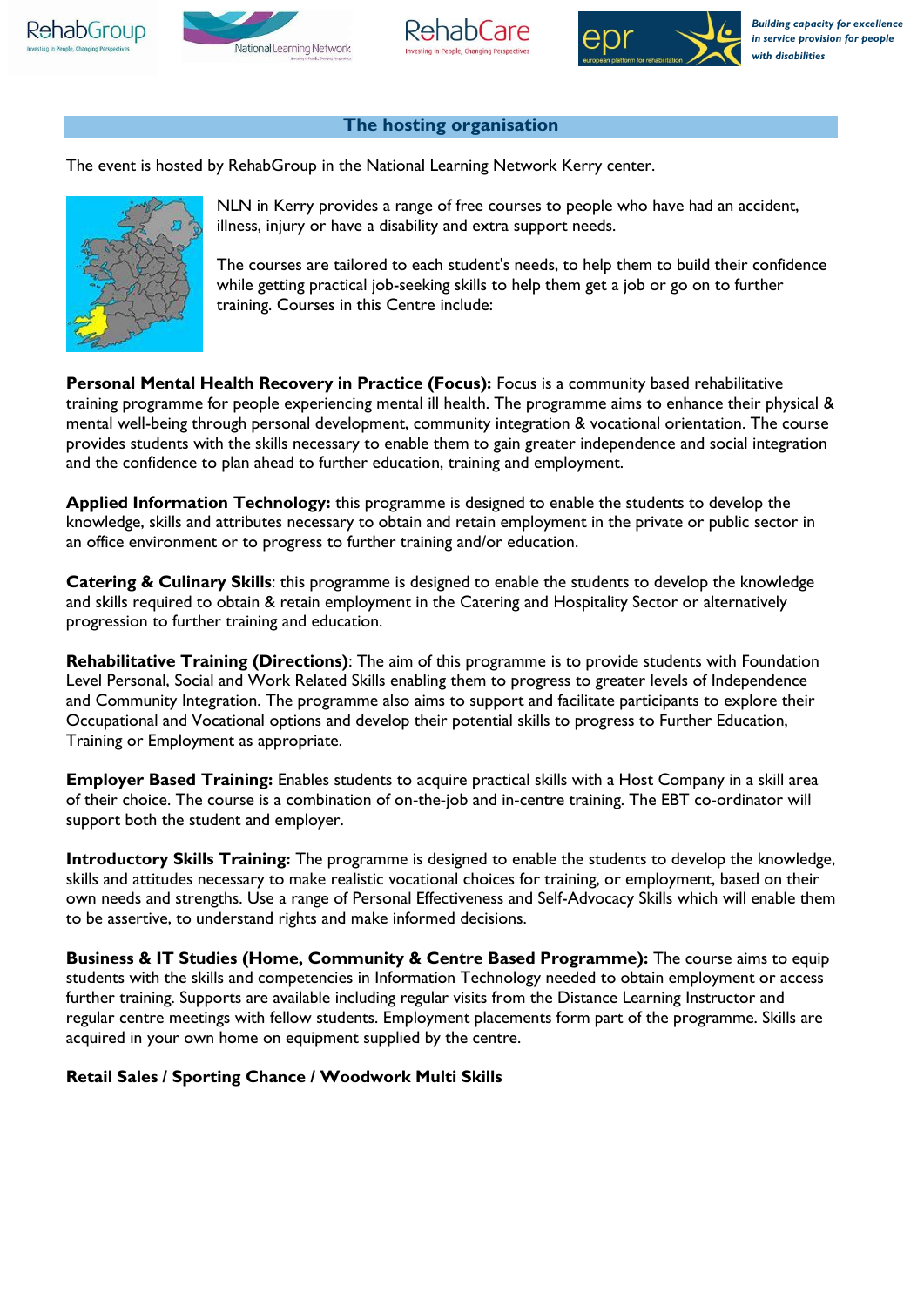







### **The hosting organisation**

The event is hosted by RehabGroup in the National Learning Network Kerry center.



NLN in Kerry provides a range of free courses to people who have had an accident, illness, injury or have a disability and extra support needs.

The courses are tailored to each student's needs, to help them to build their confidence while getting practical job-seeking skills to help them get a job or go on to further training. Courses in this Centre include:

**Personal Mental Health Recovery in Practice (Focus):** Focus is a community based rehabilitative training programme for people experiencing mental ill health. The programme aims to enhance their physical & mental well-being through personal development, community integration & vocational orientation. The course provides students with the skills necessary to enable them to gain greater independence and social integration and the confidence to plan ahead to further education, training and employment.

**Applied Information Technology:** this programme is designed to enable the students to develop the knowledge, skills and attributes necessary to obtain and retain employment in the private or public sector in an office environment or to progress to further training and/or education.

**Catering & Culinary Skills**: this programme is designed to enable the students to develop the knowledge and skills required to obtain & retain employment in the Catering and Hospitality Sector or alternatively progression to further training and education.

**Rehabilitative Training (Directions)**: The aim of this programme is to provide students with Foundation Level Personal, Social and Work Related Skills enabling them to progress to greater levels of Independence and Community Integration. The programme also aims to support and facilitate participants to explore their Occupational and Vocational options and develop their potential skills to progress to Further Education, Training or Employment as appropriate.

**Employer Based Training:** Enables students to acquire practical skills with a Host Company in a skill area of their choice. The course is a combination of on-the-job and in-centre training. The EBT co-ordinator will support both the student and employer.

**Introductory Skills Training:** The programme is designed to enable the students to develop the knowledge, skills and attitudes necessary to make realistic vocational choices for training, or employment, based on their own needs and strengths. Use a range of Personal Effectiveness and Self-Advocacy Skills which will enable them to be assertive, to understand rights and make informed decisions.

**Business & IT Studies (Home, Community & Centre Based Programme):** The course aims to equip students with the skills and competencies in Information Technology needed to obtain employment or access further training. Supports are available including regular visits from the Distance Learning Instructor and regular centre meetings with fellow students. Employment placements form part of the programme. Skills are acquired in your own home on equipment supplied by the centre.

### **Retail Sales / Sporting Chance / Woodwork Multi Skills**